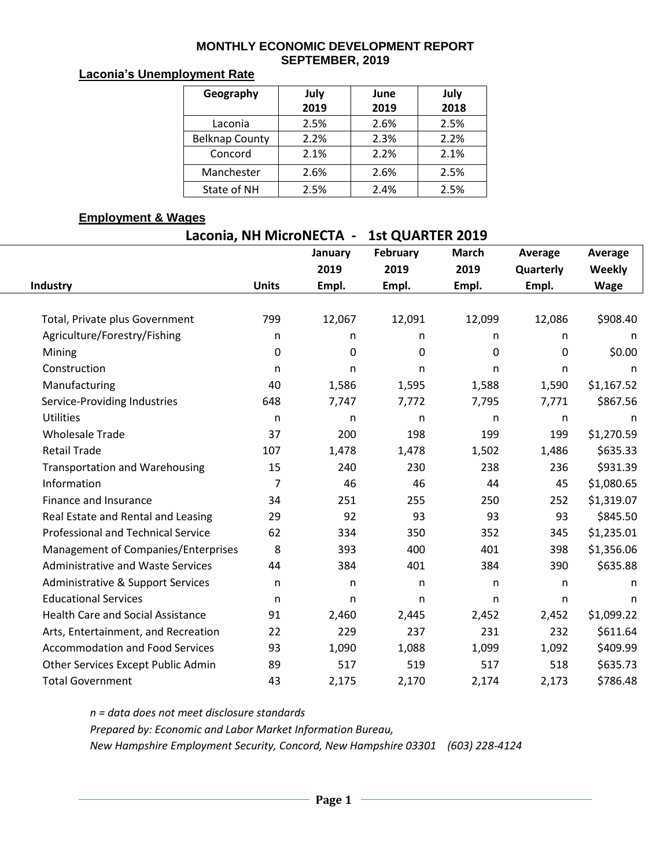#### **MONTHLY ECONOMIC DEVELOPMENT REPORT SEPTEMBER, 2019**

### **Laconia's Unemployment Rate**

| Geography             | July | June | July |  |  |
|-----------------------|------|------|------|--|--|
|                       | 2019 | 2019 | 2018 |  |  |
| Laconia               | 2.5% | 2.6% | 2.5% |  |  |
| <b>Belknap County</b> | 2.2% | 2.3% | 2.2% |  |  |
| Concord               | 2.1% | 2.2% | 2.1% |  |  |
| Manchester            | 2.6% | 2.6% | 2.5% |  |  |
| State of NH           | 2.5% | 2.4% | 2.5% |  |  |

#### **Employment & Wages**

| Laconia, NH MicroNECTA - | <b>1st QUARTER 2019</b> |
|--------------------------|-------------------------|
|                          |                         |

|                                          |                | January | <b>February</b> | <b>March</b> | Average      | Average     |  |
|------------------------------------------|----------------|---------|-----------------|--------------|--------------|-------------|--|
|                                          |                | 2019    | 2019            | 2019         | Quarterly    | Weekly      |  |
| <b>Industry</b>                          | <b>Units</b>   | Empl.   | Empl.           | Empl.        | Empl.        | <b>Wage</b> |  |
| Total, Private plus Government           | 799            | 12,067  | 12,091          | 12,099       | 12,086       | \$908.40    |  |
| Agriculture/Forestry/Fishing             | n              | n       | n               | n            | n            | n           |  |
| Mining                                   | 0              | 0       | 0               | 0            | 0            | \$0.00      |  |
| Construction                             | n              | n       | n               | n            | n            | n           |  |
| Manufacturing                            | 40             | 1,586   | 1,595           | 1,588        | 1,590        | \$1,167.52  |  |
| Service-Providing Industries             | 648            | 7,747   | 7,772           | 7,795        | 7,771        | \$867.56    |  |
| <b>Utilities</b>                         | n              | n       | n.              | n            | n            | n           |  |
| <b>Wholesale Trade</b>                   | 37             | 200     | 198             | 199          | 199          | \$1,270.59  |  |
| <b>Retail Trade</b>                      | 107            | 1,478   | 1,478           | 1,502        | 1,486        | \$635.33    |  |
| <b>Transportation and Warehousing</b>    | 15             | 240     | 230             | 238          | 236          | \$931.39    |  |
| Information                              | $\overline{7}$ | 46      | 46              | 44           | 45           | \$1,080.65  |  |
| Finance and Insurance                    | 34             | 251     | 255             | 250          | 252          | \$1,319.07  |  |
| Real Estate and Rental and Leasing       | 29             | 92      | 93              | 93           | 93           | \$845.50    |  |
| Professional and Technical Service       | 62             | 334     | 350             | 352          | 345          | \$1,235.01  |  |
| Management of Companies/Enterprises      | 8              | 393     | 400             | 401          | 398          | \$1,356.06  |  |
| <b>Administrative and Waste Services</b> | 44             | 384     | 401             | 384          | 390          | \$635.88    |  |
| Administrative & Support Services        | n              | n       | n               | n            | $\mathsf{n}$ | n           |  |
| <b>Educational Services</b>              | n              | n       | n               | n            | n            | n           |  |
| <b>Health Care and Social Assistance</b> | 91             | 2,460   | 2,445           | 2,452        | 2,452        | \$1,099.22  |  |
| Arts, Entertainment, and Recreation      | 22             | 229     | 237             | 231          | 232          | \$611.64    |  |
| <b>Accommodation and Food Services</b>   | 93             | 1,090   | 1,088           | 1,099        | 1,092        | \$409.99    |  |
| Other Services Except Public Admin       | 89             | 517     | 519             | 517          | 518          | \$635.73    |  |
| <b>Total Government</b>                  | 43             | 2,175   | 2,170           | 2,174        | 2,173        | \$786.48    |  |

*n = data does not meet disclosure standards*

*Prepared by: Economic and Labor Market Information Bureau,* 

*New Hampshire Employment Security, Concord, New Hampshire 03301 (603) 228-4124*